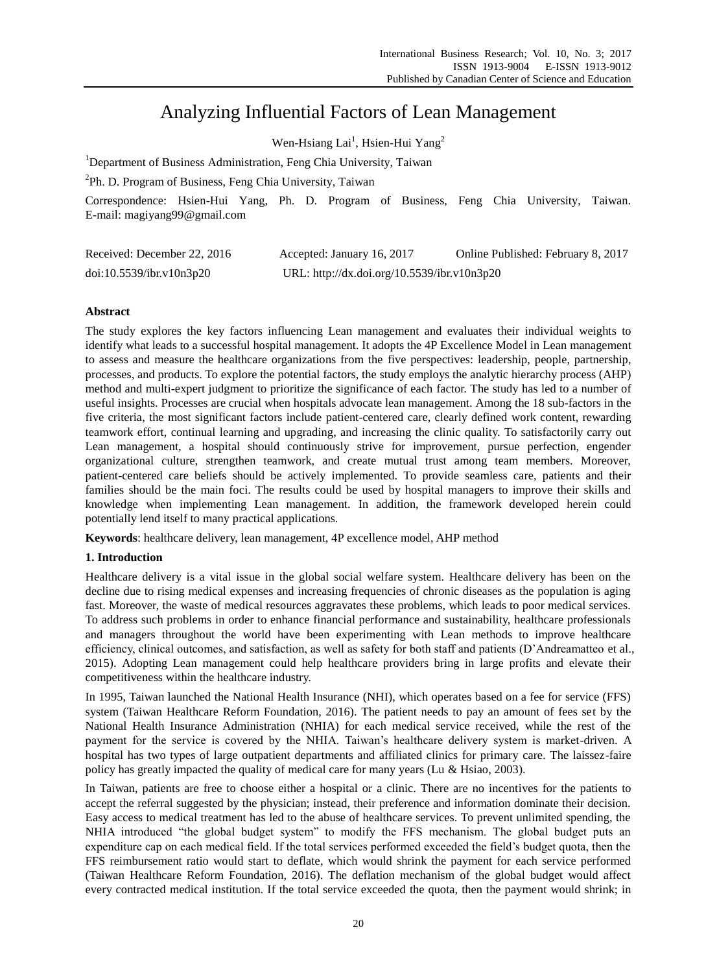# Analyzing Influential Factors of Lean Management

Wen-Hsiang Lai<sup>1</sup>, Hsien-Hui Yang<sup>2</sup>

<sup>1</sup>Department of Business Administration, Feng Chia University, Taiwan

<sup>2</sup>Ph. D. Program of Business, Feng Chia University, Taiwan

Correspondence: Hsien-Hui Yang, Ph. D. Program of Business, Feng Chia University, Taiwan. E-mail: magiyang99@gmail.com

| Received: December 22, 2016 | Accepted: January 16, 2017                  | Online Published: February 8, 2017 |
|-----------------------------|---------------------------------------------|------------------------------------|
| doi:10.5539/ibr.v10n3p20    | URL: http://dx.doi.org/10.5539/ibr.v10n3p20 |                                    |

# **Abstract**

The study explores the key factors influencing Lean management and evaluates their individual weights to identify what leads to a successful hospital management. It adopts the 4P Excellence Model in Lean management to assess and measure the healthcare organizations from the five perspectives: leadership, people, partnership, processes, and products. To explore the potential factors, the study employs the analytic hierarchy process (AHP) method and multi-expert judgment to prioritize the significance of each factor. The study has led to a number of useful insights. Processes are crucial when hospitals advocate lean management. Among the 18 sub-factors in the five criteria, the most significant factors include patient-centered care, clearly defined work content, rewarding teamwork effort, continual learning and upgrading, and increasing the clinic quality. To satisfactorily carry out Lean management, a hospital should continuously strive for improvement, pursue perfection, engender organizational culture, strengthen teamwork, and create mutual trust among team members. Moreover, patient-centered care beliefs should be actively implemented. To provide seamless care, patients and their families should be the main foci. The results could be used by hospital managers to improve their skills and knowledge when implementing Lean management. In addition, the framework developed herein could potentially lend itself to many practical applications.

**Keywords**: healthcare delivery, lean management, 4P excellence model, AHP method

# **1. Introduction**

Healthcare delivery is a vital issue in the global social welfare system. Healthcare delivery has been on the decline due to rising medical expenses and increasing frequencies of chronic diseases as the population is aging fast. Moreover, the waste of medical resources aggravates these problems, which leads to poor medical services. To address such problems in order to enhance financial performance and sustainability, healthcare professionals and managers throughout the world have been experimenting with Lean methods to improve healthcare efficiency, clinical outcomes, and satisfaction, as well as safety for both staff and patients (D'Andreamatteo et al., 2015). Adopting Lean management could help healthcare providers bring in large profits and elevate their competitiveness within the healthcare industry.

In 1995, Taiwan launched the National Health Insurance (NHI), which operates based on a fee for service (FFS) system (Taiwan Healthcare Reform Foundation, 2016). The patient needs to pay an amount of fees set by the National Health Insurance Administration (NHIA) for each medical service received, while the rest of the payment for the service is covered by the NHIA. Taiwan's healthcare delivery system is market-driven. A hospital has two types of large outpatient departments and affiliated clinics for primary care. The laissez-faire policy has greatly impacted the quality of medical care for many years (Lu & Hsiao, 2003).

In Taiwan, patients are free to choose either a hospital or a clinic. There are no incentives for the patients to accept the referral suggested by the physician; instead, their preference and information dominate their decision. Easy access to medical treatment has led to the abuse of healthcare services. To prevent unlimited spending, the NHIA introduced "the global budget system" to modify the FFS mechanism. The global budget puts an expenditure cap on each medical field. If the total services performed exceeded the field's budget quota, then the FFS reimbursement ratio would start to deflate, which would shrink the payment for each service performed (Taiwan Healthcare Reform Foundation, 2016). The deflation mechanism of the global budget would affect every contracted medical institution. If the total service exceeded the quota, then the payment would shrink; in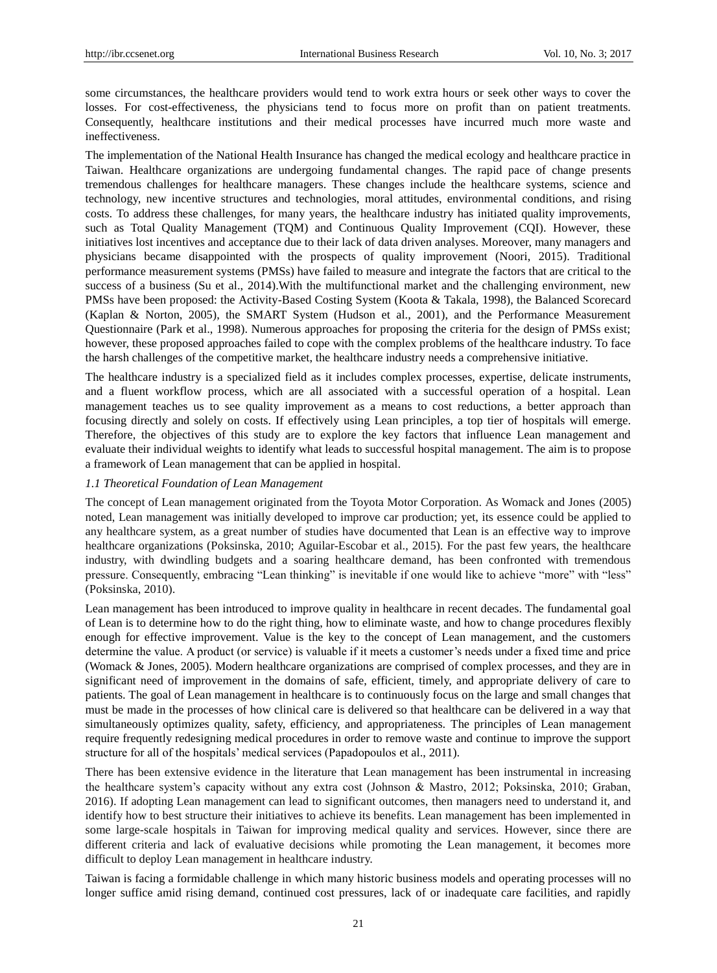some circumstances, the healthcare providers would tend to work extra hours or seek other ways to cover the losses. For cost-effectiveness, the physicians tend to focus more on profit than on patient treatments. Consequently, healthcare institutions and their medical processes have incurred much more waste and ineffectiveness.

The implementation of the National Health Insurance has changed the medical ecology and healthcare practice in Taiwan. Healthcare organizations are undergoing fundamental changes. The rapid pace of change presents tremendous challenges for healthcare managers. These changes include the healthcare systems, science and technology, new incentive structures and technologies, moral attitudes, environmental conditions, and rising costs. To address these challenges, for many years, the healthcare industry has initiated quality improvements, such as Total Quality Management (TQM) and Continuous Quality Improvement (CQI). However, these initiatives lost incentives and acceptance due to their lack of data driven analyses. Moreover, many managers and physicians became disappointed with the prospects of quality improvement (Noori, 2015). Traditional performance measurement systems (PMSs) have failed to measure and integrate the factors that are critical to the success of a business (Su et al., 2014).With the multifunctional market and the challenging environment, new PMSs have been proposed: the Activity-Based Costing System (Koota & Takala, 1998), the Balanced Scorecard (Kaplan & Norton, 2005), the SMART System (Hudson et al., 2001), and the Performance Measurement Questionnaire (Park et al., 1998). Numerous approaches for proposing the criteria for the design of PMSs exist; however, these proposed approaches failed to cope with the complex problems of the healthcare industry. To face the harsh challenges of the competitive market, the healthcare industry needs a comprehensive initiative.

The healthcare industry is a specialized field as it includes complex processes, expertise, delicate instruments, and a fluent workflow process, which are all associated with a successful operation of a hospital. Lean management teaches us to see quality improvement as a means to cost reductions, a better approach than focusing directly and solely on costs. If effectively using Lean principles, a top tier of hospitals will emerge. Therefore, the objectives of this study are to explore the key factors that influence Lean management and evaluate their individual weights to identify what leads to successful hospital management. The aim is to propose a framework of Lean management that can be applied in hospital.

#### *1.1 Theoretical Foundation of Lean Management*

The concept of Lean management originated from the Toyota Motor Corporation. As Womack and Jones (2005) noted, Lean management was initially developed to improve car production; yet, its essence could be applied to any healthcare system, as a great number of studies have documented that Lean is an effective way to improve healthcare organizations (Poksinska, 2010; Aguilar-Escobar et al., 2015). For the past few years, the healthcare industry, with dwindling budgets and a soaring healthcare demand, has been confronted with tremendous pressure. Consequently, embracing "Lean thinking" is inevitable if one would like to achieve "more" with "less" (Poksinska, 2010).

Lean management has been introduced to improve quality in healthcare in recent decades. The fundamental goal of Lean is to determine how to do the right thing, how to eliminate waste, and how to change procedures flexibly enough for effective improvement. Value is the key to the concept of Lean management, and the customers determine the value. A product (or service) is valuable if it meets a customer's needs under a fixed time and price (Womack & Jones, 2005). Modern healthcare organizations are comprised of complex processes, and they are in significant need of improvement in the domains of safe, efficient, timely, and appropriate delivery of care to patients. The goal of Lean management in healthcare is to continuously focus on the large and small changes that must be made in the processes of how clinical care is delivered so that healthcare can be delivered in a way that simultaneously optimizes quality, safety, efficiency, and appropriateness. The principles of Lean management require frequently redesigning medical procedures in order to remove waste and continue to improve the support structure for all of the hospitals' medical services (Papadopoulos et al., 2011).

There has been extensive evidence in the literature that Lean management has been instrumental in increasing the healthcare system's capacity without any extra cost (Johnson & Mastro, 2012; Poksinska, 2010; Graban, 2016). If adopting Lean management can lead to significant outcomes, then managers need to understand it, and identify how to best structure their initiatives to achieve its benefits. Lean management has been implemented in some large-scale hospitals in Taiwan for improving medical quality and services. However, since there are different criteria and lack of evaluative decisions while promoting the Lean management, it becomes more difficult to deploy Lean management in healthcare industry.

Taiwan is facing a formidable challenge in which many historic business models and operating processes will no longer suffice amid rising demand, continued cost pressures, lack of or inadequate care facilities, and rapidly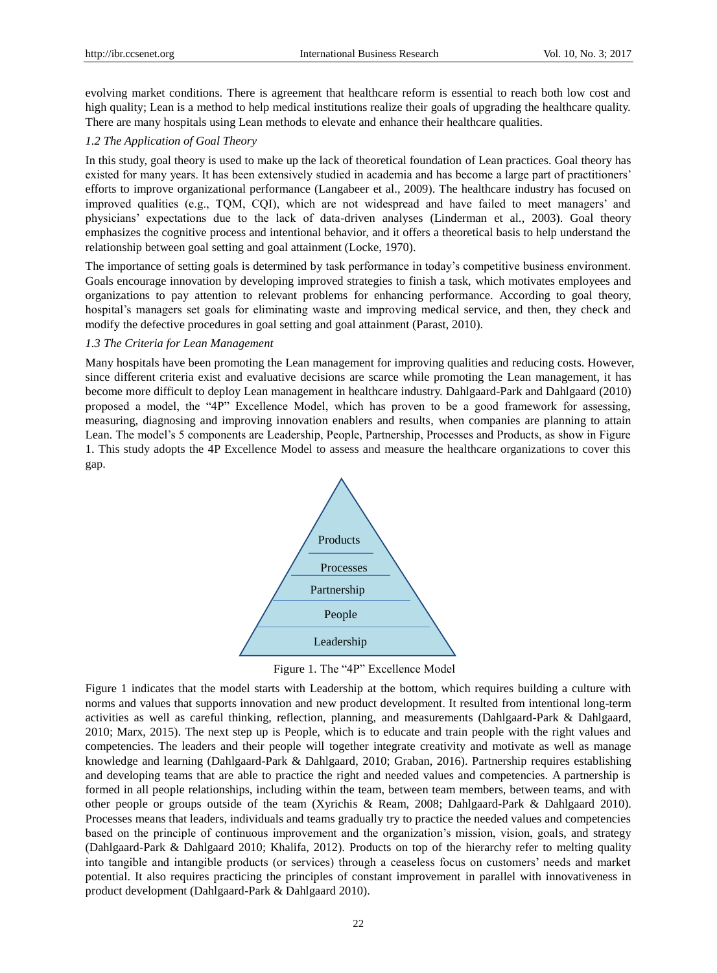evolving market conditions. There is agreement that healthcare reform is essential to reach both low cost and high quality; Lean is a method to help medical institutions realize their goals of upgrading the healthcare quality. There are many hospitals using Lean methods to elevate and enhance their healthcare qualities.

# *1.2 The Application of Goal Theory*

In this study, goal theory is used to make up the lack of theoretical foundation of Lean practices. Goal theory has existed for many years. It has been extensively studied in academia and has become a large part of practitioners' efforts to improve organizational performance (Langabeer et al., 2009). The healthcare industry has focused on improved qualities (e.g., TQM, CQI), which are not widespread and have failed to meet managers' and physicians' expectations due to the lack of data-driven analyses (Linderman et al., 2003). Goal theory emphasizes the cognitive process and intentional behavior, and it offers a theoretical basis to help understand the relationship between goal setting and goal attainment (Locke, 1970).

The importance of setting goals is determined by task performance in today's competitive business environment. Goals encourage innovation by developing improved strategies to finish a task, which motivates employees and organizations to pay attention to relevant problems for enhancing performance. According to goal theory, hospital's managers set goals for eliminating waste and improving medical service, and then, they check and modify the defective procedures in goal setting and goal attainment (Parast, 2010).

#### *1.3 The Criteria for Lean Management*

Many hospitals have been promoting the Lean management for improving qualities and reducing costs. However, since different criteria exist and evaluative decisions are scarce while promoting the Lean management, it has become more difficult to deploy Lean management in healthcare industry. Dahlgaard-Park and Dahlgaard (2010) proposed a model, the "4P" Excellence Model, which has proven to be a good framework for assessing, measuring, diagnosing and improving innovation enablers and results, when companies are planning to attain Lean. The model's 5 components are Leadership, People, Partnership, Processes and Products, as show in Figure 1. This study adopts the 4P Excellence Model to assess and measure the healthcare organizations to cover this gap.



Figure 1. The "4P" Excellence Model

Figure 1 indicates that the model starts with Leadership at the bottom, which requires building a culture with norms and values that supports innovation and new product development. It resulted from intentional long-term activities as well as careful thinking, reflection, planning, and measurements (Dahlgaard-Park & Dahlgaard, 2010; Marx, 2015). The next step up is People, which is to educate and train people with the right values and competencies. The leaders and their people will together integrate creativity and motivate as well as manage knowledge and learning (Dahlgaard-Park & Dahlgaard, 2010; Graban, 2016). Partnership requires establishing and developing teams that are able to practice the right and needed values and competencies. A partnership is formed in all people relationships, including within the team, between team members, between teams, and with other people or groups outside of the team (Xyrichis & Ream, 2008; Dahlgaard-Park & Dahlgaard 2010). Processes means that leaders, individuals and teams gradually try to practice the needed values and competencies based on the principle of continuous improvement and the organization's mission, vision, goals, and strategy (Dahlgaard-Park & Dahlgaard 2010; Khalifa, 2012). Products on top of the hierarchy refer to melting quality into tangible and intangible products (or services) through a ceaseless focus on customers' needs and market potential. It also requires practicing the principles of constant improvement in parallel with innovativeness in product development (Dahlgaard-Park & Dahlgaard 2010).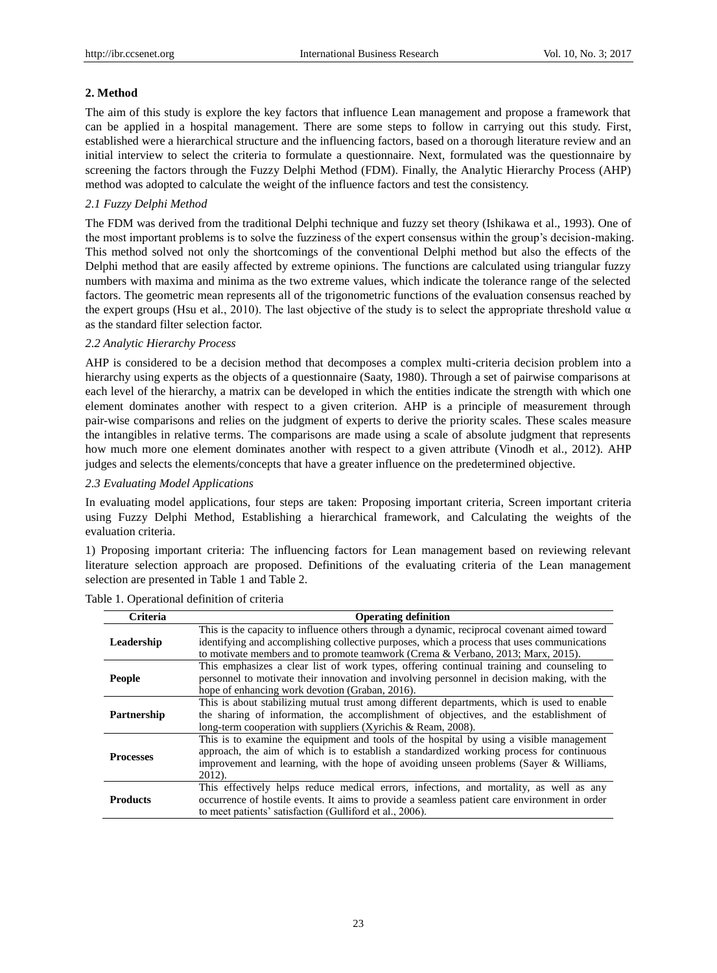# **2. Method**

The aim of this study is explore the key factors that influence Lean management and propose a framework that can be applied in a hospital management. There are some steps to follow in carrying out this study. First, established were a hierarchical structure and the influencing factors, based on a thorough literature review and an initial interview to select the criteria to formulate a questionnaire. Next, formulated was the questionnaire by screening the factors through the Fuzzy Delphi Method (FDM). Finally, the Analytic Hierarchy Process (AHP) method was adopted to calculate the weight of the influence factors and test the consistency.

# *2.1 Fuzzy Delphi Method*

The FDM was derived from the traditional Delphi technique and fuzzy set theory (Ishikawa et al., 1993). One of the most important problems is to solve the fuzziness of the expert consensus within the group's decision-making. This method solved not only the shortcomings of the conventional Delphi method but also the effects of the Delphi method that are easily affected by extreme opinions. The functions are calculated using triangular fuzzy numbers with maxima and minima as the two extreme values, which indicate the tolerance range of the selected factors. The geometric mean represents all of the trigonometric functions of the evaluation consensus reached by the expert groups (Hsu et al., 2010). The last objective of the study is to select the appropriate threshold value  $\alpha$ as the standard filter selection factor.

# *2.2 Analytic Hierarchy Process*

AHP is considered to be a decision method that decomposes a complex multi-criteria decision problem into a hierarchy using experts as the objects of a questionnaire (Saaty, 1980). Through a set of pairwise comparisons at each level of the hierarchy, a matrix can be developed in which the entities indicate the strength with which one element dominates another with respect to a given criterion. AHP is a principle of measurement through pair-wise comparisons and relies on the judgment of experts to derive the priority scales. These scales measure the intangibles in relative terms. The comparisons are made using a scale of absolute judgment that represents how much more one element dominates another with respect to a given attribute (Vinodh et al., 2012). AHP judges and selects the elements/concepts that have a greater influence on the predetermined objective.

# *2.3 Evaluating Model Applications*

In evaluating model applications, four steps are taken: Proposing important criteria, Screen important criteria using Fuzzy Delphi Method, Establishing a hierarchical framework, and Calculating the weights of the evaluation criteria.

1) Proposing important criteria: The influencing factors for Lean management based on reviewing relevant literature selection approach are proposed. Definitions of the evaluating criteria of the Lean management selection are presented in Table 1 and Table 2.

| Criteria         | <b>Operating definition</b>                                                                                                                                                                                                                                                                 |
|------------------|---------------------------------------------------------------------------------------------------------------------------------------------------------------------------------------------------------------------------------------------------------------------------------------------|
| Leadership       | This is the capacity to influence others through a dynamic, reciprocal covenant aimed toward<br>identifying and accomplishing collective purposes, which a process that uses communications<br>to motivate members and to promote teamwork (Crema & Verbano, 2013; Marx, 2015).             |
| <b>People</b>    | This emphasizes a clear list of work types, offering continual training and counseling to<br>personnel to motivate their innovation and involving personnel in decision making, with the<br>hope of enhancing work devotion (Graban, 2016).                                                 |
| Partnership      | This is about stabilizing mutual trust among different departments, which is used to enable<br>the sharing of information, the accomplishment of objectives, and the establishment of<br>long-term cooperation with suppliers (Xyrichis & Ream, 2008).                                      |
| <b>Processes</b> | This is to examine the equipment and tools of the hospital by using a visible management<br>approach, the aim of which is to establish a standardized working process for continuous<br>improvement and learning, with the hope of avoiding unseen problems (Sayer & Williams,<br>$2012$ ). |
| <b>Products</b>  | This effectively helps reduce medical errors, infections, and mortality, as well as any<br>occurrence of hostile events. It aims to provide a seamless patient care environment in order<br>to meet patients' satisfaction (Gulliford et al., 2006).                                        |

Table 1. Operational definition of criteria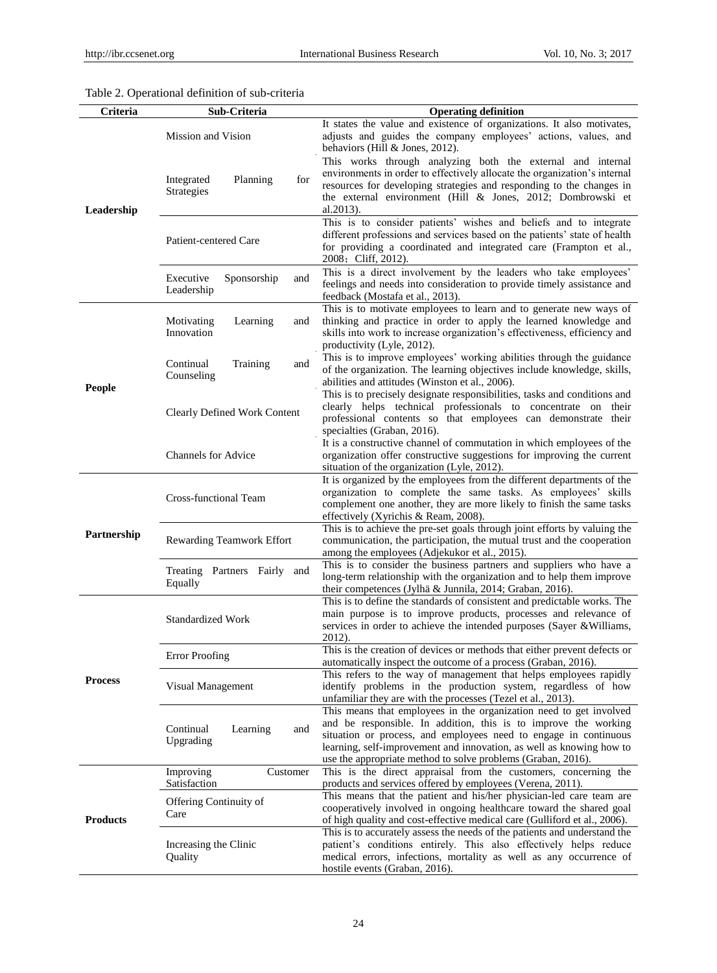| Criteria        | Sub-Criteria<br>Mission and Vision                 | <b>Operating definition</b><br>It states the value and existence of organizations. It also motivates,<br>adjusts and guides the company employees' actions, values, and<br>behaviors (Hill & Jones, 2012).                                                                                                                                        |
|-----------------|----------------------------------------------------|---------------------------------------------------------------------------------------------------------------------------------------------------------------------------------------------------------------------------------------------------------------------------------------------------------------------------------------------------|
| Leadership      | Integrated<br>Planning<br>for<br><b>Strategies</b> | This works through analyzing both the external and internal<br>environments in order to effectively allocate the organization's internal<br>resources for developing strategies and responding to the changes in<br>the external environment (Hill & Jones, 2012; Dombrowski et<br>$al.2013$ ).                                                   |
|                 | Patient-centered Care                              | This is to consider patients' wishes and beliefs and to integrate<br>different professions and services based on the patients' state of health<br>for providing a coordinated and integrated care (Frampton et al.,<br>2008; Cliff, 2012).                                                                                                        |
|                 | Executive<br>Sponsorship<br>and<br>Leadership      | This is a direct involvement by the leaders who take employees'<br>feelings and needs into consideration to provide timely assistance and<br>feedback (Mostafa et al., 2013).                                                                                                                                                                     |
|                 | Learning<br>Motivating<br>and<br>Innovation        | This is to motivate employees to learn and to generate new ways of<br>thinking and practice in order to apply the learned knowledge and<br>skills into work to increase organization's effectiveness, efficiency and<br>productivity (Lyle, 2012).                                                                                                |
|                 | Continual<br>Training<br>and<br>Counseling         | This is to improve employees' working abilities through the guidance<br>of the organization. The learning objectives include knowledge, skills,<br>abilities and attitudes (Winston et al., 2006).                                                                                                                                                |
| People          | Clearly Defined Work Content                       | This is to precisely designate responsibilities, tasks and conditions and<br>clearly helps technical professionals to concentrate on their<br>professional contents so that employees can demonstrate their<br>specialties (Graban, 2016).                                                                                                        |
|                 | <b>Channels</b> for Advice                         | It is a constructive channel of commutation in which employees of the<br>organization offer constructive suggestions for improving the current<br>situation of the organization (Lyle, 2012).                                                                                                                                                     |
|                 | <b>Cross-functional Team</b>                       | It is organized by the employees from the different departments of the<br>organization to complete the same tasks. As employees' skills<br>complement one another, they are more likely to finish the same tasks<br>effectively (Xyrichis & Ream, 2008).                                                                                          |
| Partnership     | Rewarding Teamwork Effort                          | This is to achieve the pre-set goals through joint efforts by valuing the<br>communication, the participation, the mutual trust and the cooperation<br>among the employees (Adjekukor et al., 2015).                                                                                                                                              |
|                 | Treating Partners Fairly and<br>Equally            | This is to consider the business partners and suppliers who have a<br>long-term relationship with the organization and to help them improve<br>their competences (Jylh ä& Junnila, 2014; Graban, 2016).                                                                                                                                           |
|                 | <b>Standardized Work</b>                           | This is to define the standards of consistent and predictable works. The<br>main purpose is to improve products, processes and relevance of<br>services in order to achieve the intended purposes (Sayer & Williams,<br>2012).                                                                                                                    |
|                 | Error Proofing                                     | This is the creation of devices or methods that either prevent defects or                                                                                                                                                                                                                                                                         |
| <b>Process</b>  | Visual Management                                  | automatically inspect the outcome of a process (Graban, 2016).<br>This refers to the way of management that helps employees rapidly<br>identify problems in the production system, regardless of how<br>unfamiliar they are with the processes (Tezel et al., 2013).                                                                              |
|                 | Continual<br>Learning<br>and<br>Upgrading          | This means that employees in the organization need to get involved<br>and be responsible. In addition, this is to improve the working<br>situation or process, and employees need to engage in continuous<br>learning, self-improvement and innovation, as well as knowing how to<br>use the appropriate method to solve problems (Graban, 2016). |
|                 | Customer<br>Improving<br>Satisfaction              | This is the direct appraisal from the customers, concerning the<br>products and services offered by employees (Verena, 2011).                                                                                                                                                                                                                     |
| <b>Products</b> | Offering Continuity of<br>Care                     | This means that the patient and his/her physician-led care team are<br>cooperatively involved in ongoing healthcare toward the shared goal<br>of high quality and cost-effective medical care (Gulliford et al., 2006).                                                                                                                           |
|                 | Increasing the Clinic<br>Quality                   | This is to accurately assess the needs of the patients and understand the<br>patient's conditions entirely. This also effectively helps reduce<br>medical errors, infections, mortality as well as any occurrence of<br>hostile events (Graban, 2016).                                                                                            |

# Table 2. Operational definition of sub-criteria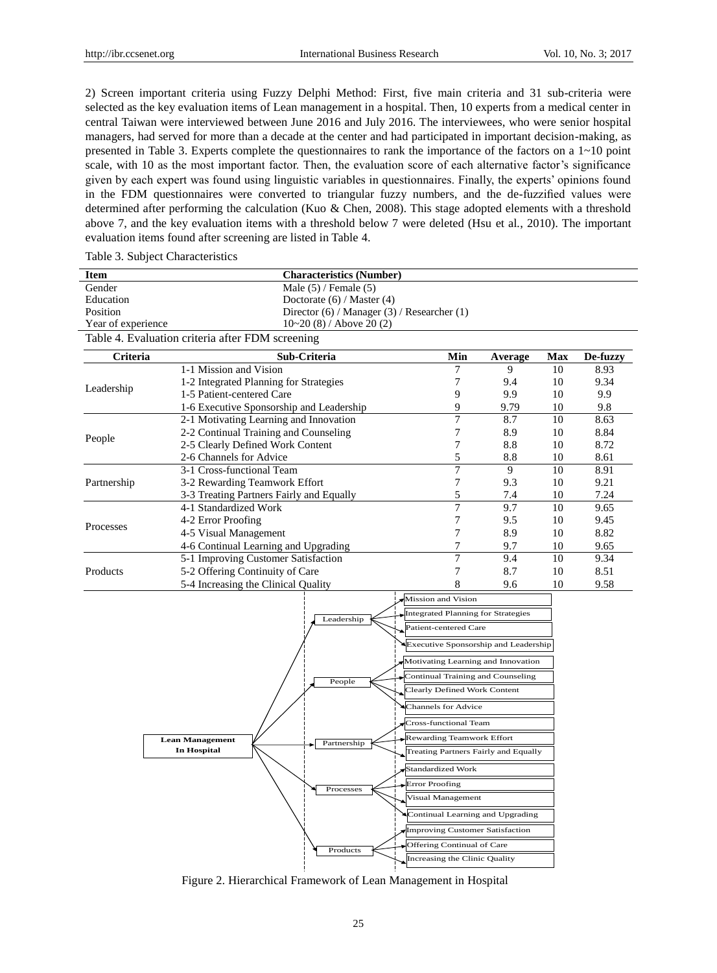2) Screen important criteria using Fuzzy Delphi Method: First, five main criteria and 31 sub-criteria were selected as the key evaluation items of Lean management in a hospital. Then, 10 experts from a medical center in central Taiwan were interviewed between June 2016 and July 2016. The interviewees, who were senior hospital managers, had served for more than a decade at the center and had participated in important decision-making, as presented in Table 3. Experts complete the questionnaires to rank the importance of the factors on a  $1 \sim 10$  point scale, with 10 as the most important factor. Then, the evaluation score of each alternative factor's significance given by each expert was found using linguistic variables in questionnaires. Finally, the experts' opinions found in the FDM questionnaires were converted to triangular fuzzy numbers, and the de-fuzzified values were determined after performing the calculation (Kuo & Chen, 2008). This stage adopted elements with a threshold above 7, and the key evaluation items with a threshold below 7 were deleted (Hsu et al*.*, 2010). The important evaluation items found after screening are listed in Table 4.

|  | Table 3. Subject Characteristics |
|--|----------------------------------|
|  |                                  |

| <b>Item</b>        | <b>Characteristics (Number)</b>                   |                |         |            |          |  |  |
|--------------------|---------------------------------------------------|----------------|---------|------------|----------|--|--|
| Gender             | Male $(5)$ / Female $(5)$                         |                |         |            |          |  |  |
| Education          | Doctorate $(6)$ / Master $(4)$                    |                |         |            |          |  |  |
| Position           | Director $(6)$ / Manager $(3)$ / Researcher $(1)$ |                |         |            |          |  |  |
| Year of experience | $10~20(8)$ / Above 20(2)                          |                |         |            |          |  |  |
|                    | Table 4. Evaluation criteria after FDM screening  |                |         |            |          |  |  |
| Criteria           | Sub-Criteria                                      | Min            | Average | <b>Max</b> | De-fuzzy |  |  |
|                    | 1-1 Mission and Vision                            |                | 9       | 10         | 8.93     |  |  |
| Leadership         | 1-2 Integrated Planning for Strategies            |                | 9.4     | 10         | 9.34     |  |  |
|                    | 1-5 Patient-centered Care                         | 9              | 9.9     | 10         | 9.9      |  |  |
|                    | 1-6 Executive Sponsorship and Leadership          | 9              | 9.79    | 10         | 9.8      |  |  |
|                    | 2-1 Motivating Learning and Innovation            | 7              | 8.7     | 10         | 8.63     |  |  |
| People             | 2-2 Continual Training and Counseling             |                | 8.9     | 10         | 8.84     |  |  |
|                    | 2-5 Clearly Defined Work Content                  |                | 8.8     | 10         | 8.72     |  |  |
|                    | 2-6 Channels for Advice                           | 5              | 8.8     | 10         | 8.61     |  |  |
|                    | 3-1 Cross-functional Team                         | $\overline{7}$ | 9       | 10         | 8.91     |  |  |
| Partnership        | 3-2 Rewarding Teamwork Effort                     |                | 9.3     | 10         | 9.21     |  |  |
|                    | 3-3 Treating Partners Fairly and Equally          | 5              | 7.4     | 10         | 7.24     |  |  |
|                    | 4-1 Standardized Work                             | $\overline{7}$ | 9.7     | 10         | 9.65     |  |  |
|                    | 4-2 Error Proofing                                |                | 9.5     | 10         | 9.45     |  |  |
| Processes          | 4-5 Visual Management                             |                | 8.9     | 10         | 8.82     |  |  |
|                    | 4-6 Continual Learning and Upgrading              |                | 9.7     | 10         | 9.65     |  |  |
|                    | 5-1 Improving Customer Satisfaction               | $\overline{7}$ | 9.4     | 10         | 9.34     |  |  |
| Products           | 5-2 Offering Continuity of Care                   |                | 8.7     | 10         | 8.51     |  |  |
|                    | 5-4 Increasing the Clinical Quality               | 8              | 9.6     | 10         | 9.58     |  |  |



Figure 2. Hierarchical Framework of Lean Management in Hospital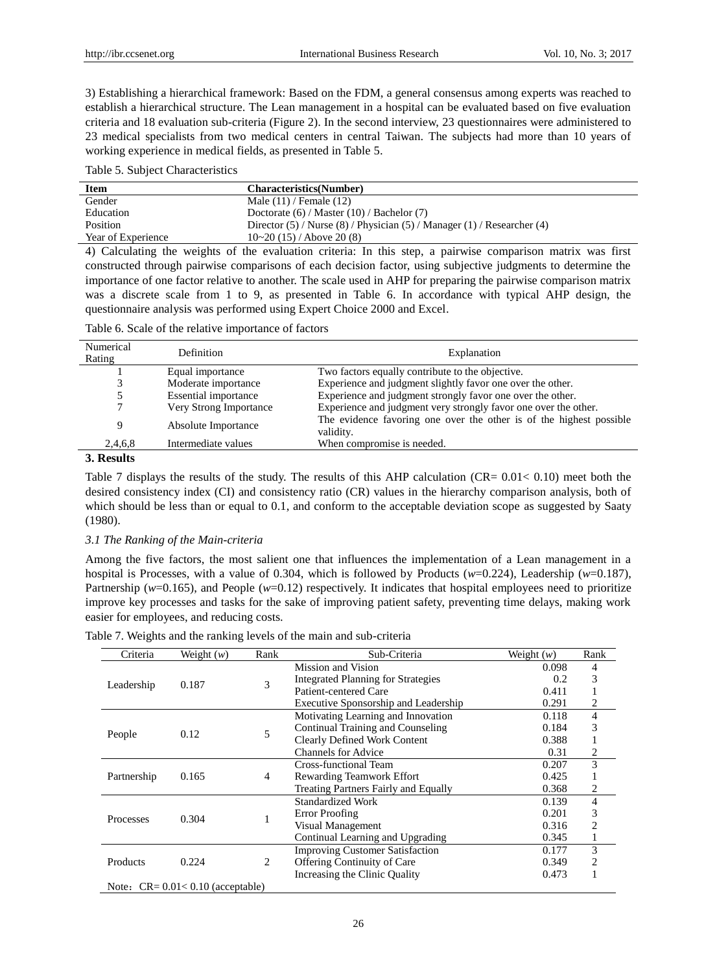3) Establishing a hierarchical framework: Based on the FDM, a general consensus among experts was reached to establish a hierarchical structure. The Lean management in a hospital can be evaluated based on five evaluation criteria and 18 evaluation sub-criteria (Figure 2). In the second interview, 23 questionnaires were administered to 23 medical specialists from two medical centers in central Taiwan. The subjects had more than 10 years of working experience in medical fields, as presented in Table 5.

|  | Table 5. Subject Characteristics |  |  |
|--|----------------------------------|--|--|
|--|----------------------------------|--|--|

| <b>Item</b>        | <b>Characteristics</b> (Number)                                                   |
|--------------------|-----------------------------------------------------------------------------------|
| Gender             | Male $(11)$ / Female $(12)$                                                       |
| Education          | Doctorate $(6)$ / Master $(10)$ / Bachelor $(7)$                                  |
| <b>Position</b>    | Director $(5)$ / Nurse $(8)$ / Physician $(5)$ / Manager $(1)$ / Researcher $(4)$ |
| Year of Experience | $10-20(15)$ / Above 20(8)                                                         |

4) Calculating the weights of the evaluation criteria: In this step, a pairwise comparison matrix was first constructed through pairwise comparisons of each decision factor, using subjective judgments to determine the importance of one factor relative to another. The scale used in AHP for preparing the pairwise comparison matrix was a discrete scale from 1 to 9, as presented in Table 6. In accordance with typical AHP design, the questionnaire analysis was performed using Expert Choice 2000 and Excel.

| Numerical<br>Rating | Definition                  | Explanation                                                                      |
|---------------------|-----------------------------|----------------------------------------------------------------------------------|
|                     | Equal importance            | Two factors equally contribute to the objective.                                 |
|                     | Moderate importance         | Experience and judgment slightly favor one over the other.                       |
|                     | <b>Essential importance</b> | Experience and judgment strongly favor one over the other.                       |
|                     | Very Strong Importance      | Experience and judgment very strongly favor one over the other.                  |
| Q                   | Absolute Importance         | The evidence favoring one over the other is of the highest possible<br>validity. |
| 2,4,6,8             | Intermediate values         | When compromise is needed.                                                       |

## **3. Results**

Table 7 displays the results of the study. The results of this AHP calculation (CR=  $0.01 < 0.10$ ) meet both the desired consistency index (CI) and consistency ratio (CR) values in the hierarchy comparison analysis, both of which should be less than or equal to 0.1, and conform to the acceptable deviation scope as suggested by Saaty (1980).

#### *3.1 The Ranking of the Main-criteria*

Among the five factors, the most salient one that influences the implementation of a Lean management in a hospital is Processes, with a value of 0.304, which is followed by Products (*w*=0.224), Leadership (*w*=0.187), Partnership ( $w=0.165$ ), and People ( $w=0.12$ ) respectively. It indicates that hospital employees need to prioritize improve key processes and tasks for the sake of improving patient safety, preventing time delays, making work easier for employees, and reducing costs.

| Criteria         | Weight $(w)$                          | Rank | Sub-Criteria                                | Weight $(w)$ | Rank |
|------------------|---------------------------------------|------|---------------------------------------------|--------------|------|
|                  |                                       |      | Mission and Vision                          | 0.098        | 4    |
|                  | 0.187                                 | 3    | Integrated Planning for Strategies          | 0.2          | 3    |
| Leadership       |                                       |      | Patient-centered Care                       | 0.411        |      |
|                  |                                       |      | Executive Sponsorship and Leadership        | 0.291        | 2    |
|                  |                                       |      | Motivating Learning and Innovation          | 0.118        | 4    |
|                  |                                       | 5    | Continual Training and Counseling           | 0.184        | 3    |
| People           | 0.12                                  |      | Clearly Defined Work Content                | 0.388        |      |
|                  |                                       |      | Channels for Advice                         | 0.31         | 2    |
|                  |                                       |      | Cross-functional Team                       | 0.207        | 3    |
| Partnership      | 0.165                                 | 4    | <b>Rewarding Teamwork Effort</b>            | 0.425        |      |
|                  |                                       |      | <b>Treating Partners Fairly and Equally</b> | 0.368        | 2    |
|                  |                                       |      | <b>Standardized Work</b>                    | 0.139        | 4    |
|                  |                                       |      | Error Proofing                              | 0.201        | 3    |
| <b>Processes</b> | 0.304                                 |      | Visual Management                           | 0.316        | 2    |
|                  |                                       |      | Continual Learning and Upgrading            | 0.345        |      |
|                  |                                       |      | <b>Improving Customer Satisfaction</b>      | 0.177        | 3    |
| <b>Products</b>  | 0.224                                 | 2    | Offering Continuity of Care                 | 0.349        | 2    |
|                  |                                       |      | Increasing the Clinic Quality               | 0.473        |      |
|                  | Note: $CR = 0.01 < 0.10$ (acceptable) |      |                                             |              |      |

|  |  | Table 7. Weights and the ranking levels of the main and sub-criteria |  |  |  |
|--|--|----------------------------------------------------------------------|--|--|--|
|  |  |                                                                      |  |  |  |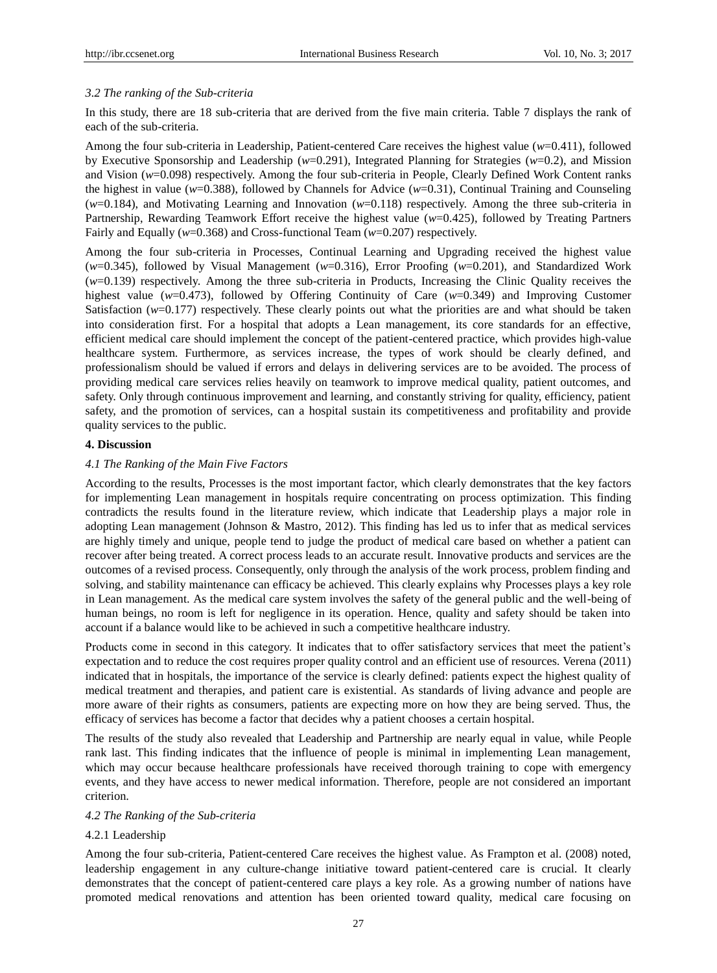#### *3.2 The ranking of the Sub-criteria*

In this study, there are 18 sub-criteria that are derived from the five main criteria. Table 7 displays the rank of each of the sub-criteria.

Among the four sub-criteria in Leadership, Patient-centered Care receives the highest value (*w*=0.411), followed by Executive Sponsorship and Leadership (*w*=0.291), Integrated Planning for Strategies (*w*=0.2), and Mission and Vision (*w*=0.098) respectively. Among the four sub-criteria in People, Clearly Defined Work Content ranks the highest in value (*w*=0.388), followed by Channels for Advice (*w*=0.31), Continual Training and Counseling (*w*=0.184), and Motivating Learning and Innovation (*w*=0.118) respectively. Among the three sub-criteria in Partnership, Rewarding Teamwork Effort receive the highest value (*w*=0.425), followed by Treating Partners Fairly and Equally (*w*=0.368) and Cross-functional Team (*w*=0.207) respectively.

Among the four sub-criteria in Processes, Continual Learning and Upgrading received the highest value (*w*=0.345), followed by Visual Management (*w*=0.316), Error Proofing (*w*=0.201), and Standardized Work (*w*=0.139) respectively. Among the three sub-criteria in Products, Increasing the Clinic Quality receives the highest value (*w*=0.473), followed by Offering Continuity of Care (*w*=0.349) and Improving Customer Satisfaction (*w*=0.177) respectively. These clearly points out what the priorities are and what should be taken into consideration first. For a hospital that adopts a Lean management, its core standards for an effective, efficient medical care should implement the concept of the patient-centered practice, which provides high-value healthcare system. Furthermore, as services increase, the types of work should be clearly defined, and professionalism should be valued if errors and delays in delivering services are to be avoided. The process of providing medical care services relies heavily on teamwork to improve medical quality, patient outcomes, and safety. Only through continuous improvement and learning, and constantly striving for quality, efficiency, patient safety, and the promotion of services, can a hospital sustain its competitiveness and profitability and provide quality services to the public.

# **4. Discussion**

## *4.1 The Ranking of the Main Five Factors*

According to the results, Processes is the most important factor, which clearly demonstrates that the key factors for implementing Lean management in hospitals require concentrating on process optimization. This finding contradicts the results found in the literature review, which indicate that Leadership plays a major role in adopting Lean management (Johnson & Mastro, 2012). This finding has led us to infer that as medical services are highly timely and unique, people tend to judge the product of medical care based on whether a patient can recover after being treated. A correct process leads to an accurate result. Innovative products and services are the outcomes of a revised process. Consequently, only through the analysis of the work process, problem finding and solving, and stability maintenance can efficacy be achieved. This clearly explains why Processes plays a key role in Lean management. As the medical care system involves the safety of the general public and the well-being of human beings, no room is left for negligence in its operation. Hence, quality and safety should be taken into account if a balance would like to be achieved in such a competitive healthcare industry.

Products come in second in this category. It indicates that to offer satisfactory services that meet the patient's expectation and to reduce the cost requires proper quality control and an efficient use of resources. Verena (2011) indicated that in hospitals, the importance of the service is clearly defined: patients expect the highest quality of medical treatment and therapies, and patient care is existential. As standards of living advance and people are more aware of their rights as consumers, patients are expecting more on how they are being served. Thus, the efficacy of services has become a factor that decides why a patient chooses a certain hospital.

The results of the study also revealed that Leadership and Partnership are nearly equal in value, while People rank last. This finding indicates that the influence of people is minimal in implementing Lean management, which may occur because healthcare professionals have received thorough training to cope with emergency events, and they have access to newer medical information. Therefore, people are not considered an important criterion.

#### *4.2 The Ranking of the Sub-criteria*

## 4.2.1 Leadership

Among the four sub-criteria, Patient-centered Care receives the highest value. As Frampton et al. (2008) noted, leadership engagement in any culture-change initiative toward patient-centered care is crucial. It clearly demonstrates that the concept of patient-centered care plays a key role. As a growing number of nations have promoted medical renovations and attention has been oriented toward quality, medical care focusing on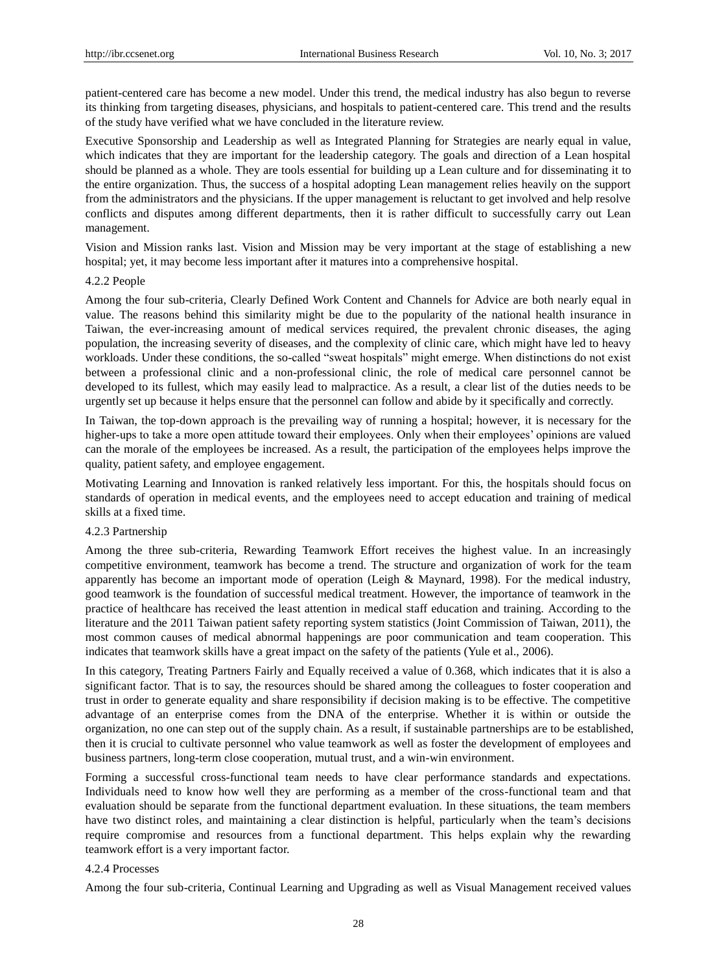patient-centered care has become a new model. Under this trend, the medical industry has also begun to reverse its thinking from targeting diseases, physicians, and hospitals to patient-centered care. This trend and the results of the study have verified what we have concluded in the literature review.

Executive Sponsorship and Leadership as well as Integrated Planning for Strategies are nearly equal in value, which indicates that they are important for the leadership category. The goals and direction of a Lean hospital should be planned as a whole. They are tools essential for building up a Lean culture and for disseminating it to the entire organization. Thus, the success of a hospital adopting Lean management relies heavily on the support from the administrators and the physicians. If the upper management is reluctant to get involved and help resolve conflicts and disputes among different departments, then it is rather difficult to successfully carry out Lean management.

Vision and Mission ranks last. Vision and Mission may be very important at the stage of establishing a new hospital; yet, it may become less important after it matures into a comprehensive hospital.

#### 4.2.2 People

Among the four sub-criteria, Clearly Defined Work Content and Channels for Advice are both nearly equal in value. The reasons behind this similarity might be due to the popularity of the national health insurance in Taiwan, the ever-increasing amount of medical services required, the prevalent chronic diseases, the aging population, the increasing severity of diseases, and the complexity of clinic care, which might have led to heavy workloads. Under these conditions, the so-called "sweat hospitals" might emerge. When distinctions do not exist between a professional clinic and a non-professional clinic, the role of medical care personnel cannot be developed to its fullest, which may easily lead to malpractice. As a result, a clear list of the duties needs to be urgently set up because it helps ensure that the personnel can follow and abide by it specifically and correctly.

In Taiwan, the top-down approach is the prevailing way of running a hospital; however, it is necessary for the higher-ups to take a more open attitude toward their employees. Only when their employees' opinions are valued can the morale of the employees be increased. As a result, the participation of the employees helps improve the quality, patient safety, and employee engagement.

Motivating Learning and Innovation is ranked relatively less important. For this, the hospitals should focus on standards of operation in medical events, and the employees need to accept education and training of medical skills at a fixed time.

## 4.2.3 Partnership

Among the three sub-criteria, Rewarding Teamwork Effort receives the highest value. In an increasingly competitive environment, teamwork has become a trend. The structure and organization of work for the team apparently has become an important mode of operation (Leigh & Maynard, 1998). For the medical industry, good teamwork is the foundation of successful medical treatment. However, the importance of teamwork in the practice of healthcare has received the least attention in medical staff education and training. According to the literature and the 2011 Taiwan patient safety reporting system statistics (Joint Commission of Taiwan, 2011), the most common causes of medical abnormal happenings are poor communication and team cooperation. This indicates that teamwork skills have a great impact on the safety of the patients (Yule et al., 2006).

In this category, Treating Partners Fairly and Equally received a value of 0.368, which indicates that it is also a significant factor. That is to say, the resources should be shared among the colleagues to foster cooperation and trust in order to generate equality and share responsibility if decision making is to be effective. The competitive advantage of an enterprise comes from the DNA of the enterprise. Whether it is within or outside the organization, no one can step out of the supply chain. As a result, if sustainable partnerships are to be established, then it is crucial to cultivate personnel who value teamwork as well as foster the development of employees and business partners, long-term close cooperation, mutual trust, and a win-win environment.

Forming a successful cross-functional team needs to have clear performance standards and expectations. Individuals need to know how well they are performing as a member of the cross-functional team and that evaluation should be separate from the functional department evaluation. In these situations, the team members have two distinct roles, and maintaining a clear distinction is helpful, particularly when the team's decisions require compromise and resources from a functional department. This helps explain why the rewarding teamwork effort is a very important factor.

#### 4.2.4 Processes

Among the four sub-criteria, Continual Learning and Upgrading as well as Visual Management received values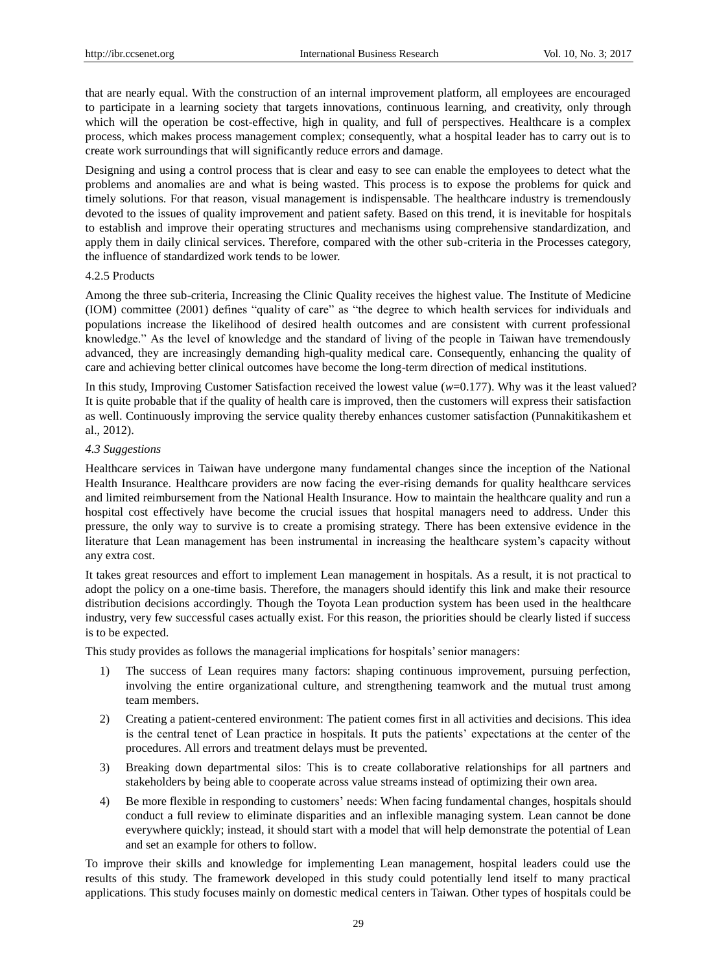that are nearly equal. With the construction of an internal improvement platform, all employees are encouraged to participate in a learning society that targets innovations, continuous learning, and creativity, only through which will the operation be cost-effective, high in quality, and full of perspectives. Healthcare is a complex process, which makes process management complex; consequently, what a hospital leader has to carry out is to create work surroundings that will significantly reduce errors and damage.

Designing and using a control process that is clear and easy to see can enable the employees to detect what the problems and anomalies are and what is being wasted. This process is to expose the problems for quick and timely solutions. For that reason, visual management is indispensable. The healthcare industry is tremendously devoted to the issues of quality improvement and patient safety. Based on this trend, it is inevitable for hospitals to establish and improve their operating structures and mechanisms using comprehensive standardization, and apply them in daily clinical services. Therefore, compared with the other sub-criteria in the Processes category, the influence of standardized work tends to be lower.

#### 4.2.5 Products

Among the three sub-criteria, Increasing the Clinic Quality receives the highest value. The Institute of Medicine (IOM) committee (2001) defines "quality of care" as "the degree to which health services for individuals and populations increase the likelihood of desired health outcomes and are consistent with current professional knowledge." As the level of knowledge and the standard of living of the people in Taiwan have tremendously advanced, they are increasingly demanding high-quality medical care. Consequently, enhancing the quality of care and achieving better clinical outcomes have become the long-term direction of medical institutions.

In this study, Improving Customer Satisfaction received the lowest value (*w*=0.177). Why was it the least valued? It is quite probable that if the quality of health care is improved, then the customers will express their satisfaction as well. Continuously improving the service quality thereby enhances customer satisfaction (Punnakitikashem et al., 2012).

## *4.3 Suggestions*

Healthcare services in Taiwan have undergone many fundamental changes since the inception of the National Health Insurance. Healthcare providers are now facing the ever-rising demands for quality healthcare services and limited reimbursement from the National Health Insurance. How to maintain the healthcare quality and run a hospital cost effectively have become the crucial issues that hospital managers need to address. Under this pressure, the only way to survive is to create a promising strategy. There has been extensive evidence in the literature that Lean management has been instrumental in increasing the healthcare system's capacity without any extra cost.

It takes great resources and effort to implement Lean management in hospitals. As a result, it is not practical to adopt the policy on a one-time basis. Therefore, the managers should identify this link and make their resource distribution decisions accordingly. Though the Toyota Lean production system has been used in the healthcare industry, very few successful cases actually exist. For this reason, the priorities should be clearly listed if success is to be expected.

This study provides as follows the managerial implications for hospitals' senior managers:

- 1) The success of Lean requires many factors: shaping continuous improvement, pursuing perfection, involving the entire organizational culture, and strengthening teamwork and the mutual trust among team members.
- 2) Creating a patient-centered environment: The patient comes first in all activities and decisions. This idea is the central tenet of Lean practice in hospitals. It puts the patients' expectations at the center of the procedures. All errors and treatment delays must be prevented.
- 3) Breaking down departmental silos: This is to create collaborative relationships for all partners and stakeholders by being able to cooperate across value streams instead of optimizing their own area.
- 4) Be more flexible in responding to customers' needs: When facing fundamental changes, hospitals should conduct a full review to eliminate disparities and an inflexible managing system. Lean cannot be done everywhere quickly; instead, it should start with a model that will help demonstrate the potential of Lean and set an example for others to follow.

To improve their skills and knowledge for implementing Lean management, hospital leaders could use the results of this study. The framework developed in this study could potentially lend itself to many practical applications. This study focuses mainly on domestic medical centers in Taiwan. Other types of hospitals could be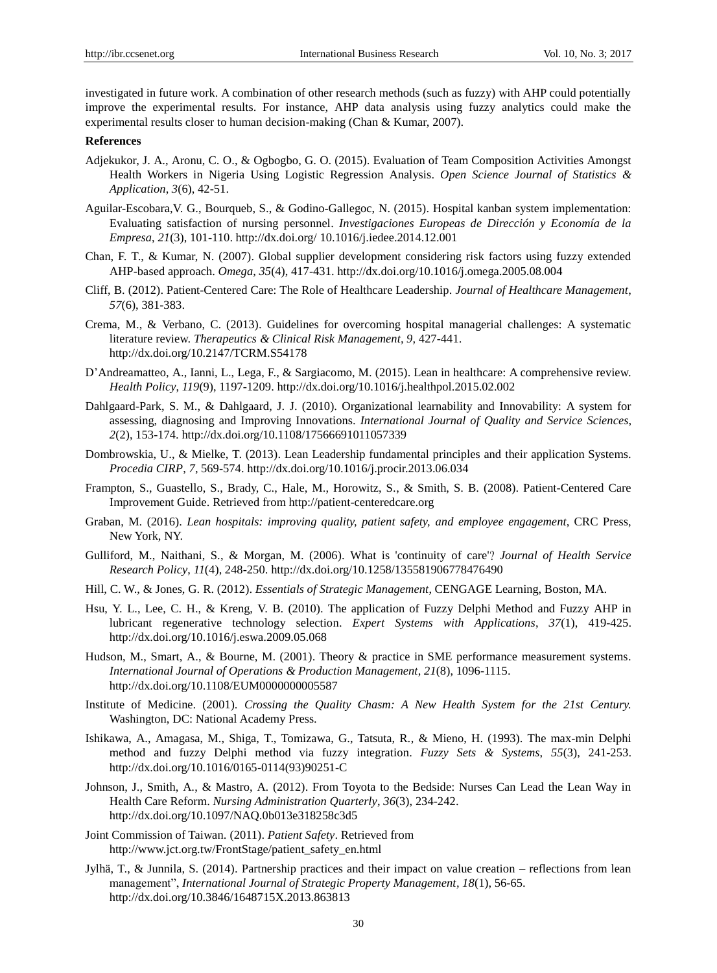investigated in future work. A combination of other research methods (such as fuzzy) with AHP could potentially improve the experimental results. For instance, AHP data analysis using fuzzy analytics could make the experimental results closer to human decision-making (Chan & Kumar, 2007).

## **References**

- Adjekukor, J. A., Aronu, C. O., & Ogbogbo, G. O. (2015). Evaluation of Team Composition Activities Amongst Health Workers in Nigeria Using Logistic Regression Analysis. *Open Science Journal of Statistics & Application*, *3*(6), 42-51.
- Aguilar-Escobara,V. G., Bourqueb, S., & Godino-Gallegoc, N. (2015). Hospital kanban system implementation: Evaluating satisfaction of nursing personnel. *Investigaciones Europeas de Dirección y Economía de la Empresa*, *21*(3), 101-110. http://dx.doi.org/ 10.1016/j.iedee.2014.12.001
- Chan, F. T., & Kumar, N. (2007). Global supplier development considering risk factors using fuzzy extended AHP-based approach. *Omega*, *35*(4), 417-431. http://dx.doi.org/10.1016/j.omega.2005.08.004
- Cliff, B. (2012). Patient-Centered Care: The Role of Healthcare Leadership. *Journal of Healthcare Management*, *57*(6), 381-383.
- Crema, M., & Verbano, C. (2013). Guidelines for overcoming hospital managerial challenges: A systematic literature review. *Therapeutics & Clinical Risk Management, 9,* 427-441. http://dx.doi.org/10.2147/TCRM.S54178
- D'Andreamatteo, A., Ianni, L., Lega, F., & Sargiacomo, M. (2015). Lean in healthcare: A comprehensive review. *Health Policy*, *119*(9), 1197-1209. http://dx.doi.org/10.1016/j.healthpol.2015.02.002
- Dahlgaard-Park, S. M., & Dahlgaard, J. J. (2010). Organizational learnability and Innovability: A system for assessing, diagnosing and Improving Innovations. *International Journal of Quality and Service Sciences*, *2*(2), 153-174. http://dx.doi.org/10.1108/17566691011057339
- Dombrowskia, U., & Mielke, T. (2013). Lean Leadership fundamental principles and their application Systems. *Procedia CIRP*, *7*, 569-574. http://dx.doi.org/10.1016/j.procir.2013.06.034
- Frampton, S., Guastello, S., Brady, C., Hale, M., Horowitz, S., & Smith, S. B. (2008). Patient-Centered Care Improvement Guide. Retrieved from http://patient-centeredcare.org
- Graban, M. (2016). *Lean hospitals: improving quality, patient safety, and employee engagement*, CRC Press, New York, NY.
- Gulliford, M., Naithani, S., & Morgan, M. (2006). What is 'continuity of care'? *Journal of Health Service Research Policy*, *11*(4), 248-250. http://dx.doi.org/10.1258/135581906778476490
- Hill, C. W., & Jones, G. R. (2012). *Essentials of Strategic Management*, CENGAGE Learning, Boston, MA.
- Hsu, Y. L., Lee, C. H., & Kreng, V. B. (2010). The application of Fuzzy Delphi Method and Fuzzy AHP in lubricant regenerative technology selection. *Expert Systems with Applications*, *37*(1), 419-425. http://dx.doi.org/10.1016/j.eswa.2009.05.068
- Hudson, M., Smart, A., & Bourne, M. (2001). Theory & practice in SME performance measurement systems. *International Journal of Operations & Production Management*, *21*(8), 1096-1115. http://dx.doi.org/10.1108/EUM0000000005587
- Institute of Medicine. (2001). *Crossing the Quality Chasm: A New Health System for the 21st Century.* Washington, DC: National Academy Press.
- Ishikawa, A., Amagasa, M., Shiga, T., Tomizawa, G., Tatsuta, R., & Mieno, H. (1993). The max-min Delphi method and fuzzy Delphi method via fuzzy integration. *Fuzzy Sets & Systems*, *55*(3), 241-253. http://dx.doi.org/10.1016/0165-0114(93)90251-C
- Johnson, J., Smith, A., & Mastro, A. (2012). From Toyota to the Bedside: Nurses Can Lead the Lean Way in Health Care Reform. *Nursing Administration Quarterly*, *36*(3), 234-242. http://dx.doi.org/10.1097/NAQ.0b013e318258c3d5
- Joint Commission of Taiwan. (2011). *Patient Safety*. Retrieved from http://www.jct.org.tw/FrontStage/patient\_safety\_en.html
- Jylhä, T., & Junnila, S. (2014). Partnership practices and their impact on value creation reflections from lean management", *International Journal of Strategic Property Management, 18*(1), 56-65. http://dx.doi.org/10.3846/1648715X.2013.863813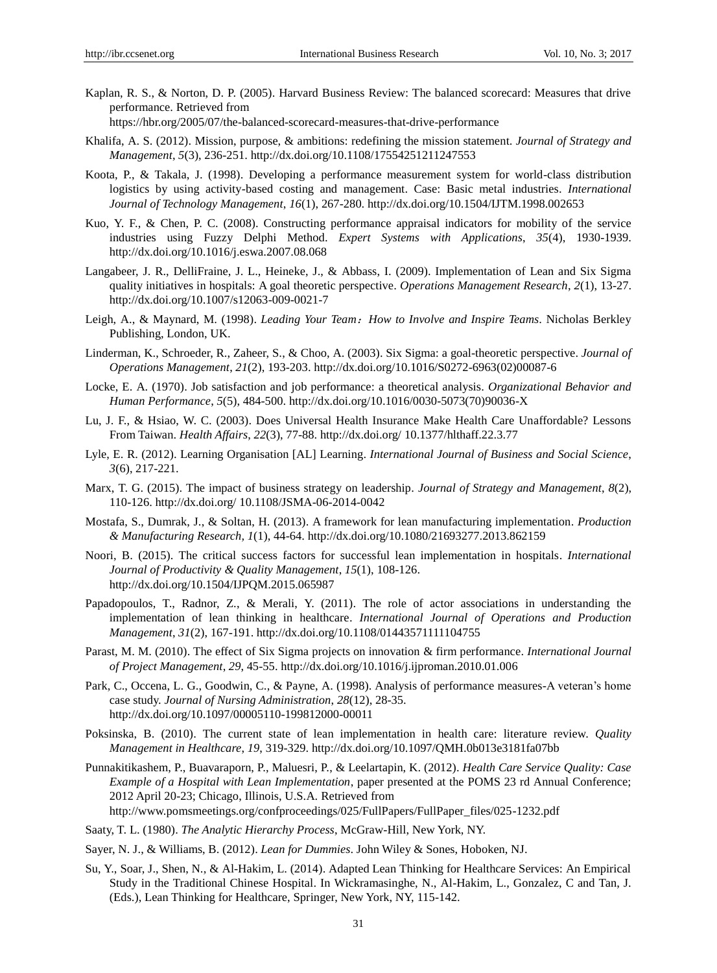Kaplan, R. S., & Norton, D. P. (2005). Harvard Business Review: The balanced scorecard: Measures that drive performance. Retrieved from

https://hbr.org/2005/07/the-balanced-scorecard-measures-that-drive-performance

- Khalifa, A. S. (2012). Mission, purpose, & ambitions: redefining the mission statement. *Journal of Strategy and Management*, *5*(3), 236-251. http://dx.doi.org/10.1108/17554251211247553
- Koota, P., & Takala, J. (1998). Developing a performance measurement system for world-class distribution logistics by using activity-based costing and management. Case: Basic metal industries. *International Journal of Technology Management*, *16*(1), 267-280. http://dx.doi.org/10.1504/IJTM.1998.002653
- Kuo, Y. F., & Chen, P. C. (2008). Constructing performance appraisal indicators for mobility of the service industries using Fuzzy Delphi Method. *Expert Systems with Applications*, *35*(4), 1930-1939. http://dx.doi.org/10.1016/j.eswa.2007.08.068
- Langabeer, J. R., DelliFraine, J. L., Heineke, J., & Abbass, I. (2009). Implementation of Lean and Six Sigma quality initiatives in hospitals: A goal theoretic perspective. *Operations Management Research*, *2*(1), 13-27. http://dx.doi.org/10.1007/s12063-009-0021-7
- Leigh, A., & Maynard, M. (1998). *Leading Your Team*:*How to Involve and Inspire Teams*. Nicholas Berkley Publishing, London, UK.
- Linderman, K., Schroeder, R., Zaheer, S., & Choo, A. (2003). Six Sigma: a goal-theoretic perspective. *Journal of Operations Management*, *21*(2), 193-203. http://dx.doi.org/10.1016/S0272-6963(02)00087-6
- Locke, E. A. (1970). Job satisfaction and job performance: a theoretical analysis. *Organizational Behavior and Human Performance*, *5*(5), 484-500. http://dx.doi.org/10.1016/0030-5073(70)90036-X
- Lu, J. F., & Hsiao, W. C. (2003). Does Universal Health Insurance Make Health Care Unaffordable? Lessons From Taiwan. *Health Affairs*, *22*(3), 77-88. http://dx.doi.org/ 10.1377/hlthaff.22.3.77
- Lyle, E. R. (2012). Learning Organisation [AL] Learning. *International Journal of Business and Social Science*, *3*(6), 217-221.
- Marx, T. G. (2015). The impact of business strategy on leadership. *Journal of Strategy and Management*, *8*(2), 110-126. http://dx.doi.org/ 10.1108/JSMA-06-2014-0042
- Mostafa, S., Dumrak, J., & Soltan, H. (2013). A framework for lean manufacturing implementation. *Production & Manufacturing Research, 1*(1), 44-64. http://dx.doi.org/10.1080/21693277.2013.862159
- Noori, B. (2015). The critical success factors for successful lean implementation in hospitals. *International Journal of Productivity & Quality Management*, *15*(1), 108-126. http://dx.doi.org/10.1504/IJPQM.2015.065987
- Papadopoulos, T., Radnor, Z., & Merali, Y. (2011). The role of actor associations in understanding the implementation of lean thinking in healthcare. *International Journal of Operations and Production Management*, *31*(2), 167-191. http://dx.doi.org/10.1108/01443571111104755
- Parast, M. M. (2010). The effect of Six Sigma projects on innovation & firm performance. *International Journal of Project Management*, *29*, 45-55. http://dx.doi.org/10.1016/j.ijproman.2010.01.006
- Park, C., Occena, L. G., Goodwin, C., & Payne, A. (1998). Analysis of performance measures-A veteran's home case study. *Journal of Nursing Administration*, *28*(12), 28-35. http://dx.doi.org/10.1097/00005110-199812000-00011
- Poksinska, B. (2010). The current state of lean implementation in health care: literature review. *Quality Management in Healthcare*, *19*, 319-329. http://dx.doi.org/10.1097/QMH.0b013e3181fa07bb
- Punnakitikashem, P., Buavaraporn, P., Maluesri, P., & Leelartapin, K. (2012). *Health Care Service Quality: Case Example of a Hospital with Lean Implementation*, paper presented at the POMS 23 rd Annual Conference; 2012 April 20-23; Chicago, Illinois, U.S.A. Retrieved from
- http://www.pomsmeetings.org/confproceedings/025/FullPapers/FullPaper\_files/025-1232.pdf
- Saaty, T. L. (1980). *The Analytic Hierarchy Process*, McGraw-Hill, New York, NY.
- Sayer, N. J., & Williams, B. (2012). *Lean for Dummies*. John Wiley & Sones, Hoboken, NJ.
- Su, Y., Soar, J., Shen, N., & Al-Hakim, L. (2014). Adapted Lean Thinking for Healthcare Services: An Empirical Study in the Traditional Chinese Hospital. In Wickramasinghe, N., Al-Hakim, L., Gonzalez, C and Tan, J. (Eds.), Lean Thinking for Healthcare, Springer, New York, NY, 115-142.